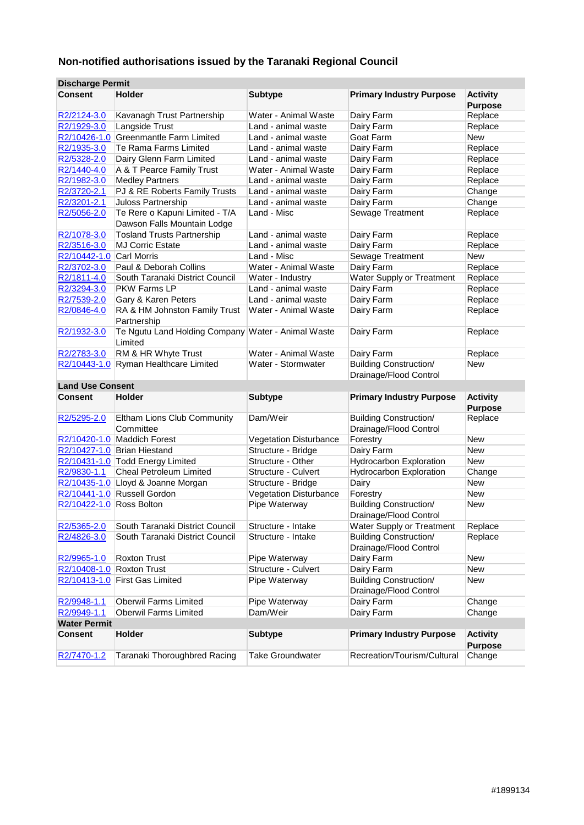# **Non-notified authorisations issued by the Taranaki Regional Council**

| <b>Discharge Permit</b>  |                                                               |                         |                                                         |                                   |
|--------------------------|---------------------------------------------------------------|-------------------------|---------------------------------------------------------|-----------------------------------|
| <b>Consent</b>           | <b>Holder</b>                                                 | <b>Subtype</b>          | <b>Primary Industry Purpose</b>                         | <b>Activity</b><br><b>Purpose</b> |
| R2/2124-3.0              | Kavanagh Trust Partnership                                    | Water - Animal Waste    | Dairy Farm                                              | Replace                           |
| R2/1929-3.0              | Langside Trust                                                | Land - animal waste     | Dairy Farm                                              | Replace                           |
|                          | R2/10426-1.0 Greenmantle Farm Limited                         | Land - animal waste     | Goat Farm                                               | <b>New</b>                        |
| R2/1935-3.0              | Te Rama Farms Limited                                         | Land - animal waste     | Dairy Farm                                              | Replace                           |
| R2/5328-2.0              | Dairy Glenn Farm Limited                                      | Land - animal waste     | Dairy Farm                                              | Replace                           |
| R2/1440-4.0              | A & T Pearce Family Trust                                     | Water - Animal Waste    | Dairy Farm                                              | Replace                           |
| R2/1982-3.0              | <b>Medley Partners</b>                                        | Land - animal waste     | Dairy Farm                                              | Replace                           |
| R2/3720-2.1              | PJ & RE Roberts Family Trusts                                 | Land - animal waste     | Dairy Farm                                              | Change                            |
| R2/3201-2.1              | Juloss Partnership                                            | Land - animal waste     | Dairy Farm                                              | Change                            |
| R2/5056-2.0              | Te Rere o Kapuni Limited - T/A                                | Land - Misc             | Sewage Treatment                                        | Replace                           |
|                          | Dawson Falls Mountain Lodge                                   |                         |                                                         |                                   |
| R2/1078-3.0              | <b>Tosland Trusts Partnership</b>                             | Land - animal waste     | Dairy Farm                                              | Replace                           |
| R2/3516-3.0              | <b>MJ Corric Estate</b>                                       | Land - animal waste     | Dairy Farm                                              | Replace                           |
| R2/10442-1.0             | <b>Carl Morris</b>                                            | Land - Misc             | Sewage Treatment                                        | <b>New</b>                        |
| R2/3702-3.0              | Paul & Deborah Collins                                        | Water - Animal Waste    | Dairy Farm                                              | Replace                           |
| R2/1811-4.0              | South Taranaki District Council                               | Water - Industry        | <b>Water Supply or Treatment</b>                        | Replace                           |
| R2/3294-3.0              | <b>PKW Farms LP</b>                                           | Land - animal waste     | Dairy Farm                                              | Replace                           |
| R2/7539-2.0              | Gary & Karen Peters                                           | Land - animal waste     | Dairy Farm                                              | Replace                           |
| R2/0846-4.0              | RA & HM Johnston Family Trust<br>Partnership                  | Water - Animal Waste    | Dairy Farm                                              | Replace                           |
| R2/1932-3.0              | Te Ngutu Land Holding Company Water - Animal Waste<br>Limited |                         | Dairy Farm                                              | Replace                           |
| R2/2783-3.0              | RM & HR Whyte Trust                                           | Water - Animal Waste    | Dairy Farm                                              | Replace                           |
| R2/10443-1.0             | Ryman Healthcare Limited                                      | Water - Stormwater      | <b>Building Construction/</b><br>Drainage/Flood Control | New                               |
| <b>Land Use Consent</b>  |                                                               |                         |                                                         |                                   |
| <b>Consent</b>           | <b>Holder</b>                                                 | <b>Subtype</b>          | <b>Primary Industry Purpose</b>                         | <b>Activity</b><br><b>Purpose</b> |
| R2/5295-2.0              | Eltham Lions Club Community<br>Committee                      | Dam/Weir                | <b>Building Construction/</b><br>Drainage/Flood Control | Replace                           |
|                          | R2/10420-1.0 Maddich Forest                                   | Vegetation Disturbance  | Forestry                                                | <b>New</b>                        |
|                          | R2/10427-1.0 Brian Hiestand                                   | Structure - Bridge      | Dairy Farm                                              | <b>New</b>                        |
|                          | R2/10431-1.0 Todd Energy Limited                              | Structure - Other       | <b>Hydrocarbon Exploration</b>                          | <b>New</b>                        |
| R2/9830-1.1              | Cheal Petroleum Limited                                       | Structure - Culvert     | <b>Hydrocarbon Exploration</b>                          | Change                            |
|                          | R2/10435-1.0 Lloyd & Joanne Morgan                            | Structure - Bridge      | Dairy                                                   | <b>New</b>                        |
|                          | R2/10441-1.0 Russell Gordon                                   | Vegetation Disturbance  | Forestry                                                | <b>New</b>                        |
| R2/10422-1.0 Ross Bolton |                                                               | Pipe Waterway           | <b>Building Construction/</b><br>Drainage/Flood Control | <b>New</b>                        |
| R2/5365-2.0              | South Taranaki District Council                               | Structure - Intake      | Water Supply or Treatment                               | Replace                           |
| R2/4826-3.0              | South Taranaki District Council                               | Structure - Intake      | <b>Building Construction/</b><br>Drainage/Flood Control | Replace                           |
| R2/9965-1.0              | Roxton Trust                                                  | Pipe Waterway           | Dairy Farm                                              | New                               |
| R2/10408-1.0             | Roxton Trust                                                  | Structure - Culvert     | Dairy Farm                                              | <b>New</b>                        |
| R2/10413-1.0             | <b>First Gas Limited</b>                                      | Pipe Waterway           | <b>Building Construction/</b><br>Drainage/Flood Control | New                               |
| R2/9948-1.1              | <b>Oberwil Farms Limited</b>                                  | Pipe Waterway           | Dairy Farm                                              | Change                            |
| R2/9949-1.1              | <b>Oberwil Farms Limited</b>                                  | Dam/Weir                | Dairy Farm                                              | Change                            |
| <b>Water Permit</b>      |                                                               |                         |                                                         |                                   |
| <b>Consent</b>           | Holder                                                        | <b>Subtype</b>          | <b>Primary Industry Purpose</b>                         | <b>Activity</b><br><b>Purpose</b> |
| R2/7470-1.2              | Taranaki Thoroughbred Racing                                  | <b>Take Groundwater</b> | Recreation/Tourism/Cultural                             | Change                            |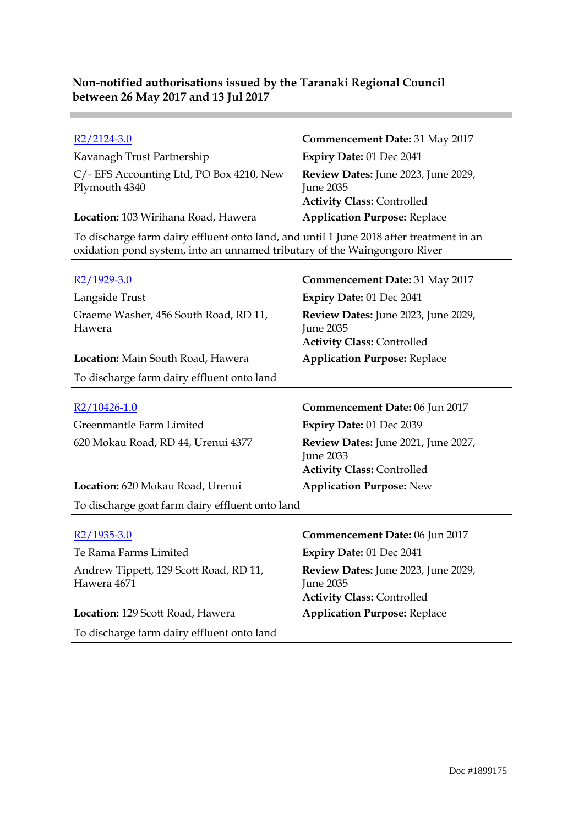Kavanagh Trust Partnership **Expiry Date:** 01 Dec 2041 C/- EFS Accounting Ltd, PO Box 4210, New Plymouth 4340

**Location:** 103 Wirihana Road, Hawera **Application Purpose:** Replace

R2/2124-3.0 **Commencement Date:** 31 May 2017 **Review Dates:** June 2023, June 2029, June 2035 **Activity Class:** Controlled

To discharge farm dairy effluent onto land, and until 1 June 2018 after treatment in an oxidation pond system, into an unnamed tributary of the Waingongoro River

| R2/1929-3.0                                     | <b>Commencement Date: 31 May 2017</b>                                                        |
|-------------------------------------------------|----------------------------------------------------------------------------------------------|
| Langside Trust                                  | Expiry Date: 01 Dec 2041                                                                     |
| Graeme Washer, 456 South Road, RD 11,<br>Hawera | Review Dates: June 2023, June 2029,<br>June 2035<br><b>Activity Class: Controlled</b>        |
| <b>Location:</b> Main South Road, Hawera        | <b>Application Purpose: Replace</b>                                                          |
| To discharge farm dairy effluent onto land      |                                                                                              |
| R2/10426-1.0                                    | Commencement Date: 06 Jun 2017                                                               |
| Greenmantle Farm Limited                        | Expiry Date: 01 Dec 2039                                                                     |
| 620 Mokau Road, RD 44, Urenui 4377              | Review Dates: June 2021, June 2027,<br><b>June 2033</b><br><b>Activity Class: Controlled</b> |
| Location: 620 Mokau Road, Urenui                | <b>Application Purpose: New</b>                                                              |
| To discharge goat farm dairy effluent onto land |                                                                                              |

Te Rama Farms Limited **Expiry Date:** 01 Dec 2041 Andrew Tippett, 129 Scott Road, RD 11, Hawera 4671

**Location:** 129 Scott Road, Hawera **Application Purpose:** Replace To discharge farm dairy effluent onto land

R2/1935-3.0 **Commencement Date:** 06 Jun 2017 **Review Dates:** June 2023, June 2029, June 2035 **Activity Class:** Controlled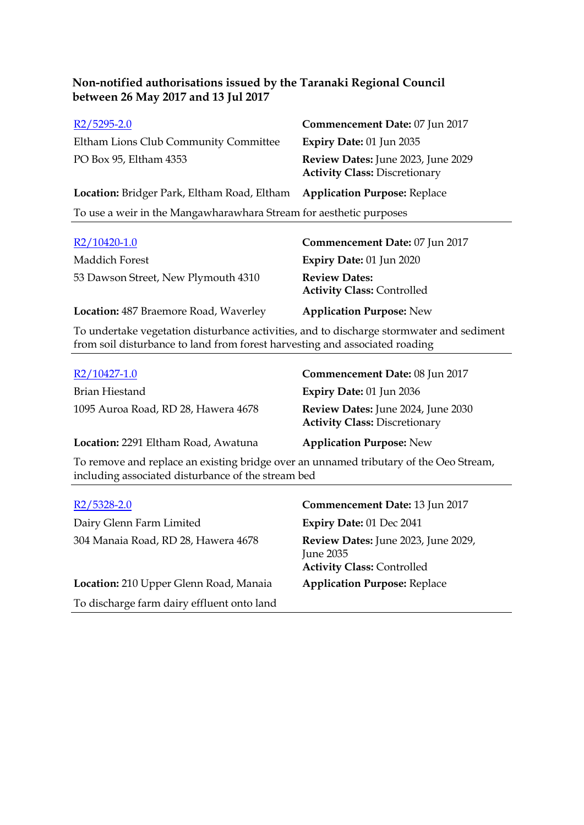| $R2/5295-2.0$                                                      | Commencement Date: 07 Jun 2017                                             |
|--------------------------------------------------------------------|----------------------------------------------------------------------------|
| Eltham Lions Club Community Committee<br>Expiry Date: 01 Jun 2035  |                                                                            |
| PO Box 95, Eltham 4353                                             | Review Dates: June 2023, June 2029<br><b>Activity Class: Discretionary</b> |
| <b>Location:</b> Bridger Park, Eltham Road, Eltham                 | <b>Application Purpose: Replace</b>                                        |
| To use a weir in the Mangawharawhara Stream for aesthetic purposes |                                                                            |

| $R2/10420-1.0$                        | Commencement Date: 07 Jun 2017                                                                                                                                                                                                                                                                              |
|---------------------------------------|-------------------------------------------------------------------------------------------------------------------------------------------------------------------------------------------------------------------------------------------------------------------------------------------------------------|
| Maddich Forest                        | Expiry Date: 01 Jun 2020                                                                                                                                                                                                                                                                                    |
| 53 Dawson Street, New Plymouth 4310   | <b>Review Dates:</b><br><b>Activity Class: Controlled</b>                                                                                                                                                                                                                                                   |
| Location: 487 Braemore Road, Waverley | <b>Application Purpose: New</b>                                                                                                                                                                                                                                                                             |
|                                       | $\mathbf{1}$ , $\mathbf{1}$ , $\mathbf{1}$ , $\mathbf{1}$ , $\mathbf{1}$ , $\mathbf{1}$ , $\mathbf{1}$ , $\mathbf{1}$ , $\mathbf{1}$ , $\mathbf{1}$ , $\mathbf{1}$ , $\mathbf{1}$ , $\mathbf{1}$ , $\mathbf{1}$ , $\mathbf{1}$ , $\mathbf{1}$ , $\mathbf{1}$ , $\mathbf{1}$ , $\mathbf{1}$ , $\mathbf{1}$ , |

To undertake vegetation disturbance activities, and to discharge stormwater and sediment from soil disturbance to land from forest harvesting and associated roading

| R2/10427-1.0                        | Commencement Date: 08 Jun 2017                                             |
|-------------------------------------|----------------------------------------------------------------------------|
| Brian Hiestand                      | <b>Expiry Date: 01 Jun 2036</b>                                            |
| 1095 Auroa Road, RD 28, Hawera 4678 | Review Dates: June 2024, June 2030<br><b>Activity Class: Discretionary</b> |
| Location: 2291 Eltham Road, Awatuna | <b>Application Purpose: New</b>                                            |

To remove and replace an existing bridge over an unnamed tributary of the Oeo Stream, including associated disturbance of the stream bed

| $R2/5328-2.0$<br>Dairy Glenn Farm Limited  | Commencement Date: 13 Jun 2017<br>Expiry Date: 01 Dec 2041                            |
|--------------------------------------------|---------------------------------------------------------------------------------------|
| 304 Manaia Road, RD 28, Hawera 4678        | Review Dates: June 2023, June 2029,<br>June 2035<br><b>Activity Class: Controlled</b> |
| Location: 210 Upper Glenn Road, Manaia     | <b>Application Purpose: Replace</b>                                                   |
| To discharge farm dairy effluent onto land |                                                                                       |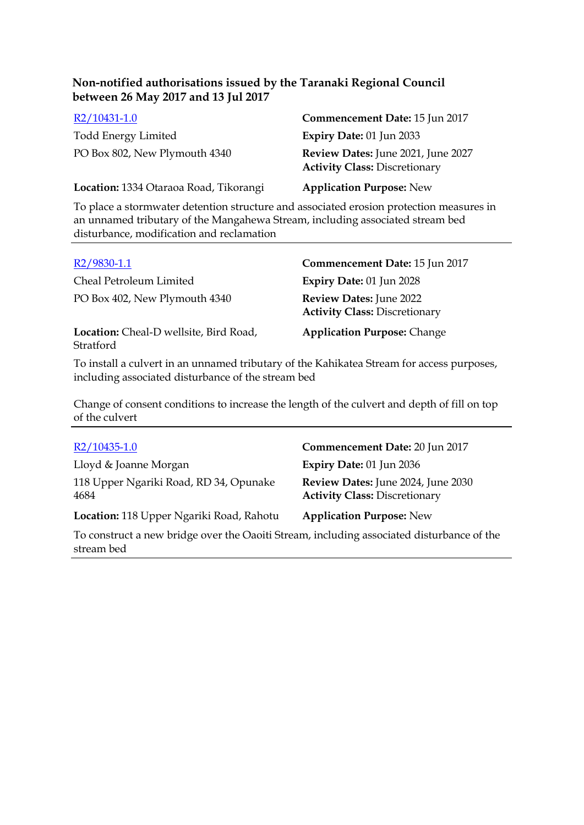| R2/10431-1.0                           | Commencement Date: 15 Jun 2017                                             |
|----------------------------------------|----------------------------------------------------------------------------|
| <b>Todd Energy Limited</b>             | Expiry Date: 01 Jun 2033                                                   |
| PO Box 802, New Plymouth 4340          | Review Dates: June 2021, June 2027<br><b>Activity Class: Discretionary</b> |
| Location: 1334 Otaraoa Road, Tikorangi | <b>Application Purpose: New</b>                                            |

To place a stormwater detention structure and associated erosion protection measures in an unnamed tributary of the Mangahewa Stream, including associated stream bed disturbance, modification and reclamation

| $R2/9830-1.1$                                       | Commencement Date: 15 Jun 2017                                         |
|-----------------------------------------------------|------------------------------------------------------------------------|
| Cheal Petroleum Limited                             | Expiry Date: 01 Jun 2028                                               |
| PO Box 402, New Plymouth 4340                       | <b>Review Dates: June 2022</b><br><b>Activity Class: Discretionary</b> |
| Location: Cheal-D wellsite, Bird Road,<br>Stratford | <b>Application Purpose: Change</b>                                     |

To install a culvert in an unnamed tributary of the Kahikatea Stream for access purposes, including associated disturbance of the stream bed

Change of consent conditions to increase the length of the culvert and depth of fill on top of the culvert

| $R2/10435-1.0$                                                                            | Commencement Date: 20 Jun 2017                                             |
|-------------------------------------------------------------------------------------------|----------------------------------------------------------------------------|
| Lloyd & Joanne Morgan                                                                     | Expiry Date: 01 Jun 2036                                                   |
| 118 Upper Ngariki Road, RD 34, Opunake<br>4684                                            | Review Dates: June 2024, June 2030<br><b>Activity Class: Discretionary</b> |
| Location: 118 Upper Ngariki Road, Rahotu                                                  | <b>Application Purpose: New</b>                                            |
| To construct a new bridge over the Oaoiti Stream, including associated disturbance of the |                                                                            |

stream bed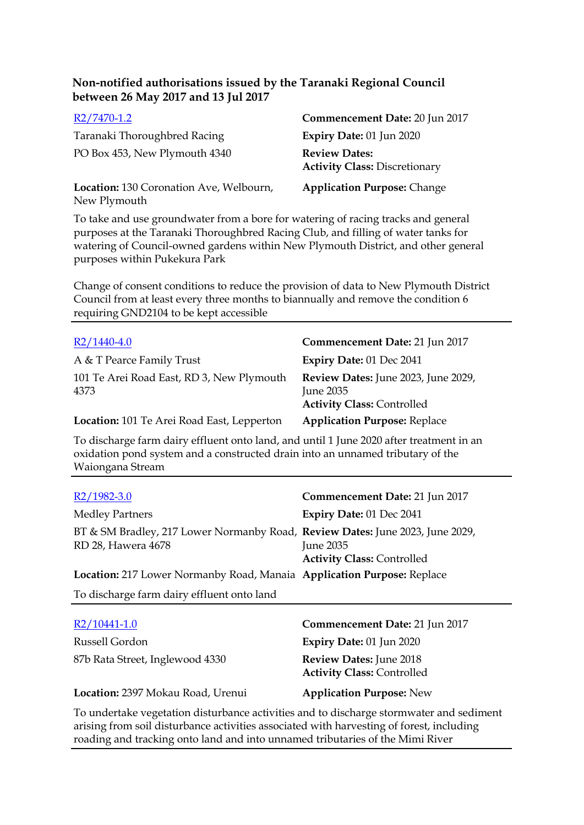| R2/7470-1.2                                             | Commencement Date: 20 Jun 2017                               |
|---------------------------------------------------------|--------------------------------------------------------------|
| Taranaki Thoroughbred Racing                            | Expiry Date: 01 Jun 2020                                     |
| PO Box 453, New Plymouth 4340                           | <b>Review Dates:</b><br><b>Activity Class: Discretionary</b> |
| Location: 130 Coronation Ave, Welbourn,<br>New Plymouth | <b>Application Purpose: Change</b>                           |

To take and use groundwater from a bore for watering of racing tracks and general purposes at the Taranaki Thoroughbred Racing Club, and filling of water tanks for watering of Council-owned gardens within New Plymouth District, and other general purposes within Pukekura Park

Change of consent conditions to reduce the provision of data to New Plymouth District Council from at least every three months to biannually and remove the condition 6 requiring GND2104 to be kept accessible

| $R2/1440-4.0$                                     | Commencement Date: 21 Jun 2017                                                        |
|---------------------------------------------------|---------------------------------------------------------------------------------------|
| A & T Pearce Family Trust                         | Expiry Date: 01 Dec 2041                                                              |
| 101 Te Arei Road East, RD 3, New Plymouth<br>4373 | Review Dates: June 2023, June 2029,<br>June 2035<br><b>Activity Class: Controlled</b> |
| Location: 101 Te Arei Road East, Lepperton        | <b>Application Purpose: Replace</b>                                                   |

To discharge farm dairy effluent onto land, and until 1 June 2020 after treatment in an oxidation pond system and a constructed drain into an unnamed tributary of the Waiongana Stream

| $R2/1982-3.0$                                                                                       | Commencement Date: 21 Jun 2017                 |
|-----------------------------------------------------------------------------------------------------|------------------------------------------------|
| <b>Medley Partners</b>                                                                              | Expiry Date: 01 Dec 2041                       |
| BT & SM Bradley, 217 Lower Normanby Road, Review Dates: June 2023, June 2029,<br>RD 28, Hawera 4678 | June 2035<br><b>Activity Class: Controlled</b> |
| Location: 217 Lower Normanby Road, Manaia Application Purpose: Replace                              |                                                |
| To discharge farm dairy effluent onto land                                                          |                                                |
| R2/10441-1.0                                                                                        | Commencement Date: 21 Jun 2017                 |
| Russell Gordon                                                                                      | <b>Expiry Date: 01 Jun 2020</b>                |
| 87b Rata Street, Inglewood 4330                                                                     | <b>Review Dates: June 2018</b>                 |

**Location:** 2397 Mokau Road, Urenui **Application Purpose:** New

To undertake vegetation disturbance activities and to discharge stormwater and sediment arising from soil disturbance activities associated with harvesting of forest, including roading and tracking onto land and into unnamed tributaries of the Mimi River

**Activity Class:** Controlled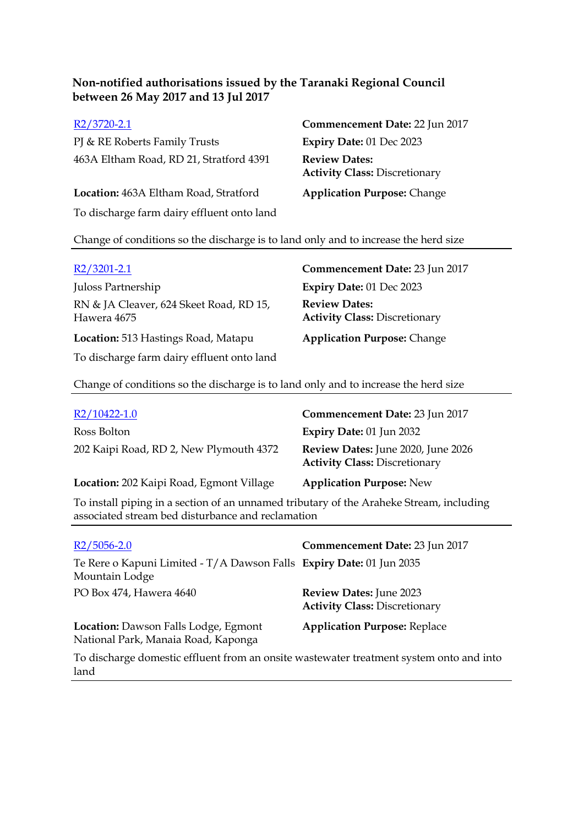PJ & RE Roberts Family Trusts **Expiry Date:** 01 Dec 2023 463A Eltham Road, RD 21, Stratford 4391 **Review Dates:**

**Location:** 463A Eltham Road, Stratford **Application Purpose:** Change To discharge farm dairy effluent onto land

R2/3720-2.1 **Commencement Date:** 22 Jun 2017 **Activity Class:** Discretionary

Change of conditions so the discharge is to land only and to increase the herd size

| $R2/3201-2.1$                                          | Commencement Date: 23 Jun 2017                               |
|--------------------------------------------------------|--------------------------------------------------------------|
| Juloss Partnership                                     | Expiry Date: 01 Dec 2023                                     |
| RN & JA Cleaver, 624 Skeet Road, RD 15,<br>Hawera 4675 | <b>Review Dates:</b><br><b>Activity Class: Discretionary</b> |
| Location: 513 Hastings Road, Matapu                    | <b>Application Purpose: Change</b>                           |
| To discharge farm dairy effluent onto land             |                                                              |

Change of conditions so the discharge is to land only and to increase the herd size

| R2/10422-1.0                                                                            | Commencement Date: 23 Jun 2017                                             |
|-----------------------------------------------------------------------------------------|----------------------------------------------------------------------------|
| Ross Bolton                                                                             | <b>Expiry Date: 01 Jun 2032</b>                                            |
| 202 Kaipi Road, RD 2, New Plymouth 4372                                                 | Review Dates: June 2020, June 2026<br><b>Activity Class: Discretionary</b> |
| Location: 202 Kaipi Road, Egmont Village                                                | <b>Application Purpose: New</b>                                            |
| To install piping in a section of an unnamed tributary of the Araheke Stream, including |                                                                            |

To install piping in a section of an unnamed tributary of the Araheke Stream, including associated stream bed disturbance and reclamation

| $R2/5056-2.0$                                                                           | Commencement Date: 23 Jun 2017                                  |
|-----------------------------------------------------------------------------------------|-----------------------------------------------------------------|
| Te Rere o Kapuni Limited - T/A Dawson Falls Expiry Date: 01 Jun 2035<br>Mountain Lodge  |                                                                 |
| PO Box 474, Hawera 4640                                                                 | Review Dates: June 2023<br><b>Activity Class: Discretionary</b> |
| Location: Dawson Falls Lodge, Egmont<br>National Park, Manaia Road, Kaponga             | <b>Application Purpose: Replace</b>                             |
| To discharge domestic effluent from an onsite wastewater treatment system onto and into |                                                                 |

To discharge domestic effluent from an onsite wastewater treatment system onto and into land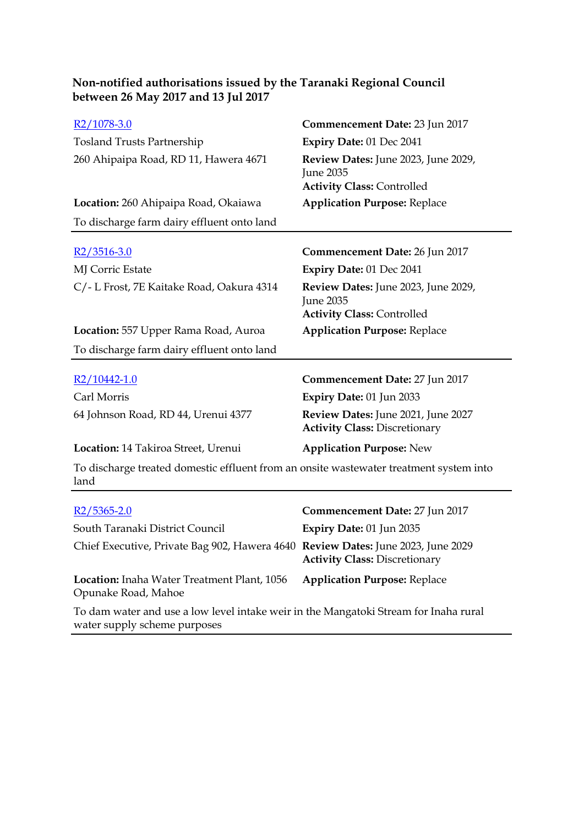| Non-notified authorisations issued by the Taranaki Regional Council |  |
|---------------------------------------------------------------------|--|
| between 26 May 2017 and 13 Jul 2017                                 |  |

| R2/1078-3.0                                                                                    | Commencement Date: 23 Jun 2017                                                               |
|------------------------------------------------------------------------------------------------|----------------------------------------------------------------------------------------------|
| <b>Tosland Trusts Partnership</b>                                                              | Expiry Date: 01 Dec 2041                                                                     |
| 260 Ahipaipa Road, RD 11, Hawera 4671                                                          | Review Dates: June 2023, June 2029,<br><b>June 2035</b><br><b>Activity Class: Controlled</b> |
| Location: 260 Ahipaipa Road, Okaiawa                                                           | <b>Application Purpose: Replace</b>                                                          |
| To discharge farm dairy effluent onto land                                                     |                                                                                              |
| $R2/3516-3.0$                                                                                  | <b>Commencement Date: 26 Jun 2017</b>                                                        |
| MJ Corric Estate                                                                               | Expiry Date: 01 Dec 2041                                                                     |
| C/- L Frost, 7E Kaitake Road, Oakura 4314                                                      | Review Dates: June 2023, June 2029,<br><b>June 2035</b><br><b>Activity Class: Controlled</b> |
| Location: 557 Upper Rama Road, Auroa                                                           | <b>Application Purpose: Replace</b>                                                          |
| To discharge farm dairy effluent onto land                                                     |                                                                                              |
| $R2/10442-1.0$                                                                                 | <b>Commencement Date: 27 Jun 2017</b>                                                        |
| Carl Morris                                                                                    | Expiry Date: 01 Jun 2033                                                                     |
| 64 Johnson Road, RD 44, Urenui 4377                                                            | Review Dates: June 2021, June 2027<br><b>Activity Class: Discretionary</b>                   |
| Location: 14 Takiroa Street, Urenui                                                            | <b>Application Purpose: New</b>                                                              |
| To discharge treated domestic effluent from an onsite wastewater treatment system into<br>land |                                                                                              |
| $R2/5365 - 2.0$                                                                                | Commencement Date: 27 Jun 2017                                                               |
| South Taranaki District Council                                                                | Expiry Date: 01 Jun 2035                                                                     |
| Chief Executive, Private Bag 902, Hawera 4640 Review Dates: June 2023, June 2029               | <b>Activity Class: Discretionary</b>                                                         |
|                                                                                                |                                                                                              |

**Location:** Inaha Water Treatment Plant, 1056 **Application Purpose:** Replace Opunake Road, Mahoe

To dam water and use a low level intake weir in the Mangatoki Stream for Inaha rural water supply scheme purposes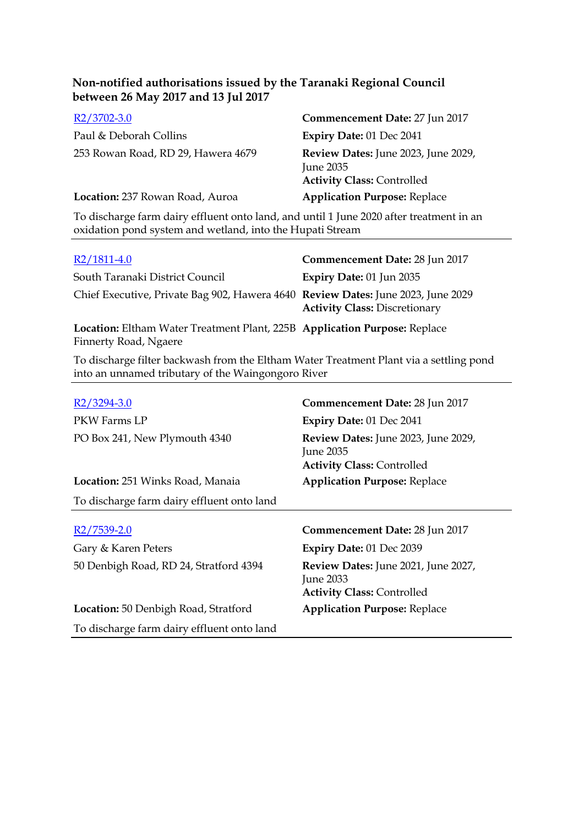| $R2/3702-3.0$                      | Commencement Date: 27 Jun 2017                                                        |
|------------------------------------|---------------------------------------------------------------------------------------|
| Paul & Deborah Collins             | <b>Expiry Date: 01 Dec 2041</b>                                                       |
| 253 Rowan Road, RD 29, Hawera 4679 | Review Dates: June 2023, June 2029,<br>June 2035<br><b>Activity Class: Controlled</b> |
| Location: 237 Rowan Road, Auroa    | <b>Application Purpose: Replace</b>                                                   |

To discharge farm dairy effluent onto land, and until 1 June 2020 after treatment in an oxidation pond system and wetland, into the Hupati Stream

| $R2/1811-4.0$                                                                                      | Commencement Date: 28 Jun 2017       |
|----------------------------------------------------------------------------------------------------|--------------------------------------|
| South Taranaki District Council                                                                    | Expiry Date: 01 Jun 2035             |
| Chief Executive, Private Bag 902, Hawera 4640 Review Dates: June 2023, June 2029                   | <b>Activity Class: Discretionary</b> |
| Location: Eltham Water Treatment Plant, 225B Application Purpose: Replace<br>Finnerty Road, Ngaere |                                      |

To discharge filter backwash from the Eltham Water Treatment Plant via a settling pond into an unnamed tributary of the Waingongoro River

| R2/3294-3.0                                | Commencement Date: 28 Jun 2017                                                               |
|--------------------------------------------|----------------------------------------------------------------------------------------------|
| PKW Farms LP                               | Expiry Date: 01 Dec 2041                                                                     |
| PO Box 241, New Plymouth 4340              | Review Dates: June 2023, June 2029,<br><b>June 2035</b><br><b>Activity Class: Controlled</b> |
| <b>Location:</b> 251 Winks Road, Manaia    | <b>Application Purpose: Replace</b>                                                          |
| To discharge farm dairy effluent onto land |                                                                                              |
|                                            |                                                                                              |
| R2/7539-2.0                                | Commencement Date: 28 Jun 2017                                                               |
| Gary & Karen Peters                        | Expiry Date: 01 Dec 2039                                                                     |
|                                            |                                                                                              |
| 50 Denbigh Road, RD 24, Stratford 4394     | Review Dates: June 2021, June 2027,<br><b>June 2033</b><br><b>Activity Class: Controlled</b> |
| Location: 50 Denbigh Road, Stratford       | <b>Application Purpose: Replace</b>                                                          |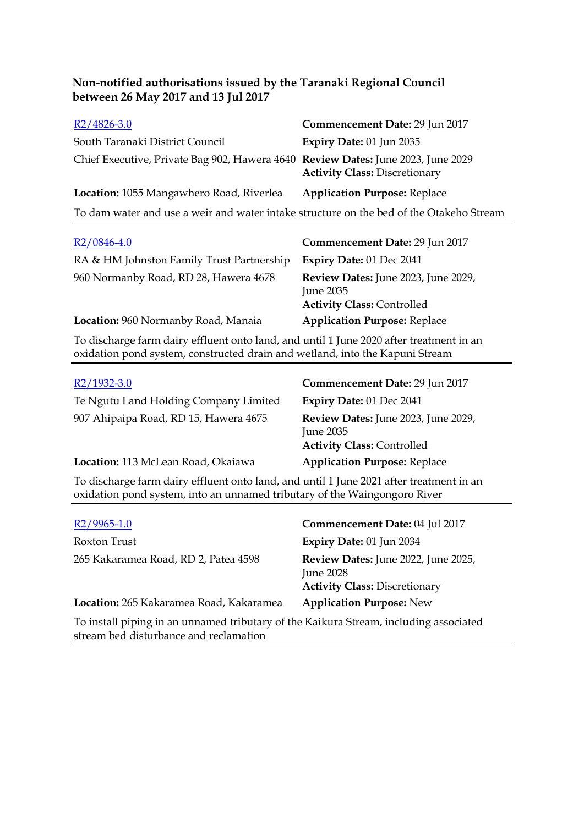| $R2/4826-3.0$                                                                           | Commencement Date: 29 Jun 2017       |
|-----------------------------------------------------------------------------------------|--------------------------------------|
| South Taranaki District Council                                                         | <b>Expiry Date: 01 Jun 2035</b>      |
| Chief Executive, Private Bag 902, Hawera 4640 Review Dates: June 2023, June 2029        | <b>Activity Class: Discretionary</b> |
| Location: 1055 Mangawhero Road, Riverlea                                                | <b>Application Purpose: Replace</b>  |
| To dam water and use a weir and water intake structure on the bed of the Otakeho Stream |                                      |
|                                                                                         |                                      |

| $R2/0846-4.0$                                                                          | Commencement Date: 29 Jun 2017                                                        |
|----------------------------------------------------------------------------------------|---------------------------------------------------------------------------------------|
| RA & HM Johnston Family Trust Partnership                                              | Expiry Date: 01 Dec 2041                                                              |
| 960 Normanby Road, RD 28, Hawera 4678                                                  | Review Dates: June 2023, June 2029,<br>June 2035<br><b>Activity Class: Controlled</b> |
| Location: 960 Normanby Road, Manaia                                                    | <b>Application Purpose: Replace</b>                                                   |
| To discharge form dairy offluent anto land and until 1 June 2020 often treatment in an |                                                                                       |

To discharge farm dairy effluent onto land, and until 1 June 2020 after treatment in an oxidation pond system, constructed drain and wetland, into the Kapuni Stream

| $R2/1932-3.0$                         | Commencement Date: 29 Jun 2017                                                        |
|---------------------------------------|---------------------------------------------------------------------------------------|
| Te Ngutu Land Holding Company Limited | Expiry Date: 01 Dec 2041                                                              |
| 907 Ahipaipa Road, RD 15, Hawera 4675 | Review Dates: June 2023, June 2029,<br>June 2035<br><b>Activity Class: Controlled</b> |
| Location: 113 McLean Road, Okaiawa    | <b>Application Purpose: Replace</b>                                                   |

To discharge farm dairy effluent onto land, and until 1 June 2021 after treatment in an oxidation pond system, into an unnamed tributary of the Waingongoro River

| $R2/9965-1.0$                                                                                          | Commencement Date: 04 Jul 2017                                                                  |
|--------------------------------------------------------------------------------------------------------|-------------------------------------------------------------------------------------------------|
| Roxton Trust                                                                                           | <b>Expiry Date: 01 Jun 2034</b>                                                                 |
| 265 Kakaramea Road, RD 2, Patea 4598                                                                   | Review Dates: June 2022, June 2025,<br><b>June 2028</b><br><b>Activity Class: Discretionary</b> |
| Location: 265 Kakaramea Road, Kakaramea                                                                | <b>Application Purpose: New</b>                                                                 |
| The together that the commences of rations and of the IZ others. Organized the fund that acceptance of |                                                                                                 |

To install piping in an unnamed tributary of the Kaikura Stream, including associated stream bed disturbance and reclamation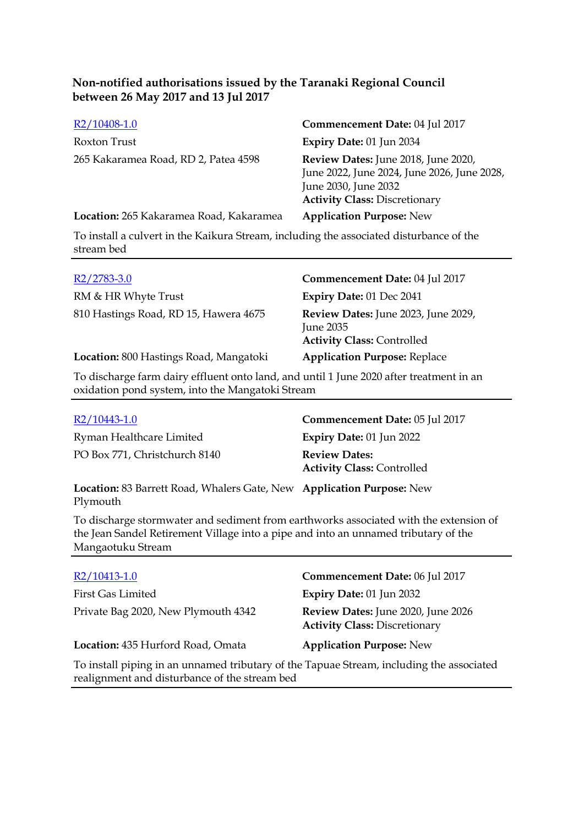| R2/10408-1.0                            | Commencement Date: 04 Jul 2017                                                                                                                     |
|-----------------------------------------|----------------------------------------------------------------------------------------------------------------------------------------------------|
| Roxton Trust                            | Expiry Date: 01 Jun 2034                                                                                                                           |
| 265 Kakaramea Road, RD 2, Patea 4598    | Review Dates: June 2018, June 2020,<br>June 2022, June 2024, June 2026, June 2028,<br>June 2030, June 2032<br><b>Activity Class: Discretionary</b> |
| Location: 265 Kakaramea Road, Kakaramea | <b>Application Purpose: New</b>                                                                                                                    |

To install a culvert in the Kaikura Stream, including the associated disturbance of the stream bed

| $R2/2783-3.0$                          | Commencement Date: 04 Jul 2017                                                        |
|----------------------------------------|---------------------------------------------------------------------------------------|
| RM & HR Whyte Trust                    | Expiry Date: 01 Dec 2041                                                              |
| 810 Hastings Road, RD 15, Hawera 4675  | Review Dates: June 2023, June 2029,<br>June 2035<br><b>Activity Class: Controlled</b> |
| Location: 800 Hastings Road, Mangatoki | <b>Application Purpose: Replace</b>                                                   |

To discharge farm dairy effluent onto land, and until 1 June 2020 after treatment in an oxidation pond system, into the Mangatoki Stream

| R2/10443-1.0                                                                                                                                                                              | Commencement Date: 05 Jul 2017                            |
|-------------------------------------------------------------------------------------------------------------------------------------------------------------------------------------------|-----------------------------------------------------------|
| Ryman Healthcare Limited                                                                                                                                                                  | Expiry Date: $01$ Jun 2022                                |
| PO Box 771, Christchurch 8140                                                                                                                                                             | <b>Review Dates:</b><br><b>Activity Class: Controlled</b> |
| $L_{\text{scat}}(2.00 \text{ R})$ and $L_{\text{scat}}(1.00 \text{ R})$ and $L_{\text{scat}}(2.00 \text{ R})$ and $L_{\text{scat}}(2.00 \text{ R})$ and $L_{\text{scat}}(1.00 \text{ R})$ |                                                           |

**Location:** 83 Barrett Road, Whalers Gate, New **Application Purpose:** New Plymouth

To discharge stormwater and sediment from earthworks associated with the extension of the Jean Sandel Retirement Village into a pipe and into an unnamed tributary of the Mangaotuku Stream

| R2/10413-1.0                                                                                                                              | Commencement Date: 06 Jul 2017                                             |  |
|-------------------------------------------------------------------------------------------------------------------------------------------|----------------------------------------------------------------------------|--|
| <b>First Gas Limited</b>                                                                                                                  | Expiry Date: 01 Jun 2032                                                   |  |
| Private Bag 2020, New Plymouth 4342                                                                                                       | Review Dates: June 2020, June 2026<br><b>Activity Class: Discretionary</b> |  |
| Location: 435 Hurford Road, Omata                                                                                                         | <b>Application Purpose: New</b>                                            |  |
| To install piping in an unnamed tributary of the Tapuae Stream, including the associated<br>realignment and disturbance of the stream bed |                                                                            |  |